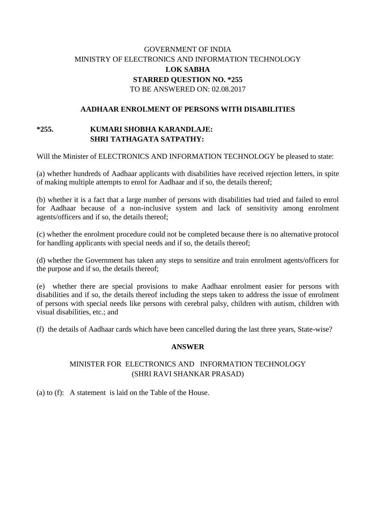# GOVERNMENT OF INDIA MINISTRY OF ELECTRONICS AND INFORMATION TECHNOLOGY **LOK SABHA STARRED QUESTION NO. \*255** TO BE ANSWERED ON: 02.08.2017

### **AADHAAR ENROLMENT OF PERSONS WITH DISABILITIES**

### **\*255. KUMARI SHOBHA KARANDLAJE: SHRI TATHAGATA SATPATHY:**

Will the Minister of ELECTRONICS AND INFORMATION TECHNOLOGY be pleased to state:

(a) whether hundreds of Aadhaar applicants with disabilities have received rejection letters, in spite of making multiple attempts to enrol for Aadhaar and if so, the details thereof;

(b) whether it is a fact that a large number of persons with disabilities had tried and failed to enrol for Aadhaar because of a non-inclusive system and lack of sensitivity among enrolment agents/officers and if so, the details thereof;

(c) whether the enrolment procedure could not be completed because there is no alternative protocol for handling applicants with special needs and if so, the details thereof;

(d) whether the Government has taken any steps to sensitize and train enrolment agents/officers for the purpose and if so, the details thereof;

(e) whether there are special provisions to make Aadhaar enrolment easier for persons with disabilities and if so, the details thereof including the steps taken to address the issue of enrolment of persons with special needs like persons with cerebral palsy, children with autism, children with visual disabilities, etc.; and

(f) the details of Aadhaar cards which have been cancelled during the last three years, State-wise?

#### **ANSWER**

### MINISTER FOR ELECTRONICS AND INFORMATION TECHNOLOGY (SHRI RAVI SHANKAR PRASAD)

(a) to (f): A statement is laid on the Table of the House.